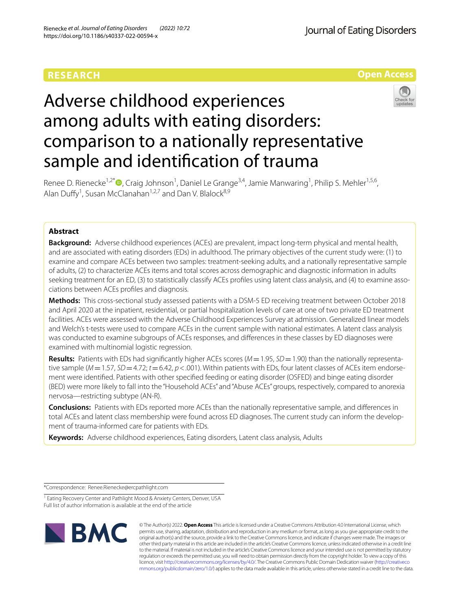## **RESEARCH**

Journal of Eating Disorders

**Open Access**

# Adverse childhood experiences among adults with eating disorders: comparison to a nationally representative sample and identifcation of trauma



Renee D. Rienecke<sup>1[,](http://orcid.org/0000-0003-0423-7403)2\*</sup> (D, Craig Johnson<sup>1</sup>, Daniel Le Grange<sup>3,4</sup>, Jamie Manwaring<sup>1</sup>, Philip S. Mehler<sup>1,5,6</sup>, Alan Duffy<sup>1</sup>, Susan McClanahan<sup>1,2,7</sup> and Dan V. Blalock<sup>8,9</sup>

## **Abstract**

**Background:** Adverse childhood experiences (ACEs) are prevalent, impact long-term physical and mental health, and are associated with eating disorders (EDs) in adulthood. The primary objectives of the current study were: (1) to examine and compare ACEs between two samples: treatment-seeking adults, and a nationally representative sample of adults, (2) to characterize ACEs items and total scores across demographic and diagnostic information in adults seeking treatment for an ED, (3) to statistically classify ACEs profles using latent class analysis, and (4) to examine associations between ACEs profles and diagnosis.

**Methods:** This cross-sectional study assessed patients with a DSM-5 ED receiving treatment between October 2018 and April 2020 at the inpatient, residential, or partial hospitalization levels of care at one of two private ED treatment facilities. ACEs were assessed with the Adverse Childhood Experiences Survey at admission. Generalized linear models and Welch's t-tests were used to compare ACEs in the current sample with national estimates. A latent class analysis was conducted to examine subgroups of ACEs responses, and diferences in these classes by ED diagnoses were examined with multinomial logistic regression.

**Results:** Patients with EDs had signifcantly higher ACEs scores (*M*=1.95, *SD*=1.90) than the nationally representative sample ( $M=1.57$ ,  $SD=4.72$ ;  $t=6.42$ ,  $p<.001$ ). Within patients with EDs, four latent classes of ACEs item endorsement were identifed. Patients with other specifed feeding or eating disorder (OSFED) and binge eating disorder (BED) were more likely to fall into the "Household ACEs" and "Abuse ACEs" groups, respectively, compared to anorexia nervosa—restricting subtype (AN-R).

**Conclusions:** Patients with EDs reported more ACEs than the nationally representative sample, and diferences in total ACEs and latent class membership were found across ED diagnoses. The current study can inform the development of trauma-informed care for patients with EDs.

**Keywords:** Adverse childhood experiences, Eating disorders, Latent class analysis, Adults

\*Correspondence: Renee.Rienecke@ercpathlight.com

<sup>&</sup>lt;sup>1</sup> Eating Recovery Center and Pathlight Mood & Anxiety Centers, Denver, USA Full list of author information is available at the end of the article



© The Author(s) 2022. **Open Access** This article is licensed under a Creative Commons Attribution 4.0 International License, which permits use, sharing, adaptation, distribution and reproduction in any medium or format, as long as you give appropriate credit to the original author(s) and the source, provide a link to the Creative Commons licence, and indicate if changes were made. The images or other third party material in this article are included in the article's Creative Commons licence, unless indicated otherwise in a credit line to the material. If material is not included in the article's Creative Commons licence and your intended use is not permitted by statutory regulation or exceeds the permitted use, you will need to obtain permission directly from the copyright holder. To view a copy of this licence, visit [http://creativecommons.org/licenses/by/4.0/.](http://creativecommons.org/licenses/by/4.0/) The Creative Commons Public Domain Dedication waiver ([http://creativeco](http://creativecommons.org/publicdomain/zero/1.0/) [mmons.org/publicdomain/zero/1.0/](http://creativecommons.org/publicdomain/zero/1.0/)) applies to the data made available in this article, unless otherwise stated in a credit line to the data.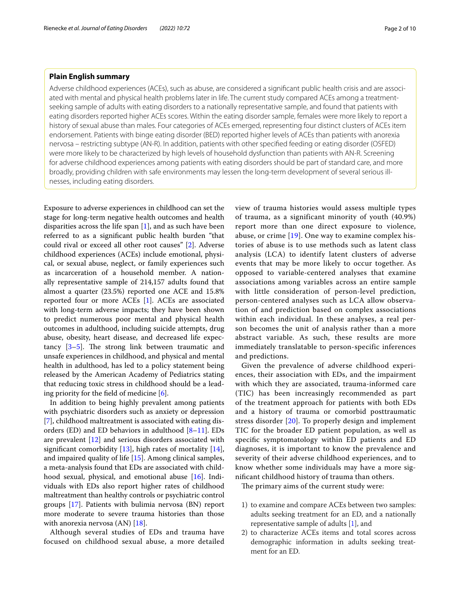## **Plain English summary**

Adverse childhood experiences (ACEs), such as abuse, are considered a signifcant public health crisis and are associated with mental and physical health problems later in life. The current study compared ACEs among a treatmentseeking sample of adults with eating disorders to a nationally representative sample, and found that patients with eating disorders reported higher ACEs scores. Within the eating disorder sample, females were more likely to report a history of sexual abuse than males. Four categories of ACEs emerged, representing four distinct clusters of ACEs item endorsement. Patients with binge eating disorder (BED) reported higher levels of ACEs than patients with anorexia nervosa – restricting subtype (AN-R). In addition, patients with other specifed feeding or eating disorder (OSFED) were more likely to be characterized by high levels of household dysfunction than patients with AN-R. Screening for adverse childhood experiences among patients with eating disorders should be part of standard care, and more broadly, providing children with safe environments may lessen the long-term development of several serious illnesses, including eating disorders.

Exposure to adverse experiences in childhood can set the stage for long-term negative health outcomes and health disparities across the life span [[1\]](#page-8-0), and as such have been referred to as a signifcant public health burden "that could rival or exceed all other root causes" [[2\]](#page-8-1). Adverse childhood experiences (ACEs) include emotional, physical, or sexual abuse, neglect, or family experiences such as incarceration of a household member. A nationally representative sample of 214,157 adults found that almost a quarter (23.5%) reported one ACE and 15.8% reported four or more ACEs [[1\]](#page-8-0). ACEs are associated with long-term adverse impacts; they have been shown to predict numerous poor mental and physical health outcomes in adulthood, including suicide attempts, drug abuse, obesity, heart disease, and decreased life expectancy  $[3-5]$  $[3-5]$  $[3-5]$ . The strong link between traumatic and unsafe experiences in childhood, and physical and mental health in adulthood, has led to a policy statement being released by the American Academy of Pediatrics stating that reducing toxic stress in childhood should be a leading priority for the feld of medicine [\[6](#page-8-4)].

In addition to being highly prevalent among patients with psychiatric disorders such as anxiety or depression [[7\]](#page-8-5), childhood maltreatment is associated with eating disorders (ED) and ED behaviors in adulthood [[8–](#page-8-6)[11](#page-8-7)]. EDs are prevalent [[12\]](#page-8-8) and serious disorders associated with significant comorbidity  $[13]$  $[13]$ , high rates of mortality  $[14]$  $[14]$ , and impaired quality of life [[15\]](#page-8-11). Among clinical samples, a meta-analysis found that EDs are associated with childhood sexual, physical, and emotional abuse [[16](#page-8-12)]. Individuals with EDs also report higher rates of childhood maltreatment than healthy controls or psychiatric control groups [[17\]](#page-8-13). Patients with bulimia nervosa (BN) report more moderate to severe trauma histories than those with anorexia nervosa (AN) [[18](#page-8-14)].

Although several studies of EDs and trauma have focused on childhood sexual abuse, a more detailed view of trauma histories would assess multiple types of trauma, as a significant minority of youth (40.9%) report more than one direct exposure to violence, abuse, or crime [[19](#page-8-15)]. One way to examine complex histories of abuse is to use methods such as latent class analysis (LCA) to identify latent clusters of adverse events that may be more likely to occur together. As opposed to variable-centered analyses that examine associations among variables across an entire sample with little consideration of person-level prediction, person-centered analyses such as LCA allow observation of and prediction based on complex associations within each individual. In these analyses, a real person becomes the unit of analysis rather than a more abstract variable. As such, these results are more immediately translatable to person-specific inferences and predictions.

Given the prevalence of adverse childhood experiences, their association with EDs, and the impairment with which they are associated, trauma-informed care (TIC) has been increasingly recommended as part of the treatment approach for patients with both EDs and a history of trauma or comorbid posttraumatic stress disorder [[20\]](#page-8-16). To properly design and implement TIC for the broader ED patient population, as well as specifc symptomatology within ED patients and ED diagnoses, it is important to know the prevalence and severity of their adverse childhood experiences, and to know whether some individuals may have a more signifcant childhood history of trauma than others.

The primary aims of the current study were:

- 1) to examine and compare ACEs between two samples: adults seeking treatment for an ED, and a nationally representative sample of adults [\[1](#page-8-0)], and
- 2) to characterize ACEs items and total scores across demographic information in adults seeking treatment for an ED.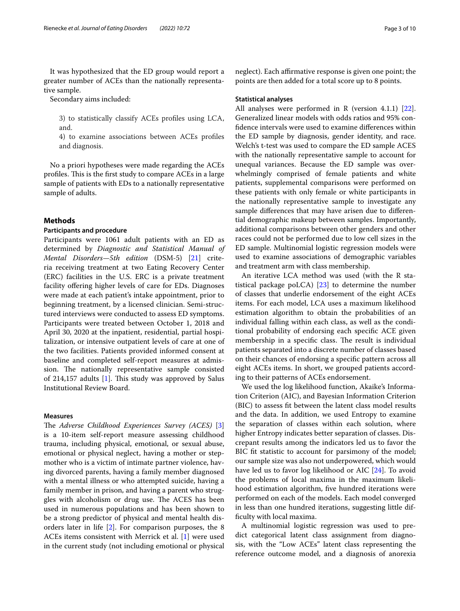It was hypothesized that the ED group would report a greater number of ACEs than the nationally representative sample.

Secondary aims included:

3) to statistically classify ACEs profles using LCA, and.

4) to examine associations between ACEs profles and diagnosis.

No a priori hypotheses were made regarding the ACEs profiles. This is the first study to compare ACEs in a large sample of patients with EDs to a nationally representative sample of adults.

## **Methods**

## **Participants and procedure**

Participants were 1061 adult patients with an ED as determined by *Diagnostic and Statistical Manual of Mental Disorders—5th edition* (DSM-5) [\[21](#page-8-17)] criteria receiving treatment at two Eating Recovery Center (ERC) facilities in the U.S. ERC is a private treatment facility ofering higher levels of care for EDs. Diagnoses were made at each patient's intake appointment, prior to beginning treatment, by a licensed clinician. Semi-structured interviews were conducted to assess ED symptoms. Participants were treated between October 1, 2018 and April 30, 2020 at the inpatient, residential, partial hospitalization, or intensive outpatient levels of care at one of the two facilities. Patients provided informed consent at baseline and completed self-report measures at admission. The nationally representative sample consisted of 214,157 adults  $[1]$ . This study was approved by Salus Institutional Review Board.

## **Measures**

The *Adverse Childhood Experiences Survey (ACES)* [\[3](#page-8-2)] is a 10-item self-report measure assessing childhood trauma, including physical, emotional, or sexual abuse, emotional or physical neglect, having a mother or stepmother who is a victim of intimate partner violence, having divorced parents, having a family member diagnosed with a mental illness or who attempted suicide, having a family member in prison, and having a parent who struggles with alcoholism or drug use. The ACES has been used in numerous populations and has been shown to be a strong predictor of physical and mental health disorders later in life [[2\]](#page-8-1). For comparison purposes, the 8 ACEs items consistent with Merrick et al. [\[1](#page-8-0)] were used in the current study (not including emotional or physical

neglect). Each affirmative response is given one point; the points are then added for a total score up to 8 points.

## **Statistical analyses**

All analyses were performed in R (version 4.1.1) [\[22](#page-8-18)]. Generalized linear models with odds ratios and 95% confdence intervals were used to examine diferences within the ED sample by diagnosis, gender identity, and race. Welch's t-test was used to compare the ED sample ACES with the nationally representative sample to account for unequal variances. Because the ED sample was overwhelmingly comprised of female patients and white patients, supplemental comparisons were performed on these patients with only female or white participants in the nationally representative sample to investigate any sample diferences that may have arisen due to diferential demographic makeup between samples. Importantly, additional comparisons between other genders and other races could not be performed due to low cell sizes in the ED sample. Multinomial logistic regression models were used to examine associations of demographic variables and treatment arm with class membership.

An iterative LCA method was used (with the R statistical package poLCA) [\[23](#page-8-19)] to determine the number of classes that underlie endorsement of the eight ACEs items. For each model, LCA uses a maximum likelihood estimation algorithm to obtain the probabilities of an individual falling within each class, as well as the conditional probability of endorsing each specifc ACE given membership in a specific class. The result is individual patients separated into a discrete number of classes based on their chances of endorsing a specifc pattern across all eight ACEs items. In short, we grouped patients according to their patterns of ACEs endorsement.

We used the log likelihood function, Akaike's Information Criterion (AIC), and Bayesian Information Criterion (BIC) to assess ft between the latent class model results and the data. In addition, we used Entropy to examine the separation of classes within each solution, where higher Entropy indicates better separation of classes. Discrepant results among the indicators led us to favor the BIC fit statistic to account for parsimony of the model; our sample size was also not underpowered, which would have led us to favor log likelihood or AIC [\[24](#page-8-20)]. To avoid the problems of local maxima in the maximum likelihood estimation algorithm, five hundred iterations were performed on each of the models. Each model converged in less than one hundred iterations, suggesting little diffculty with local maxima.

A multinomial logistic regression was used to predict categorical latent class assignment from diagnosis, with the "Low ACEs" latent class representing the reference outcome model, and a diagnosis of anorexia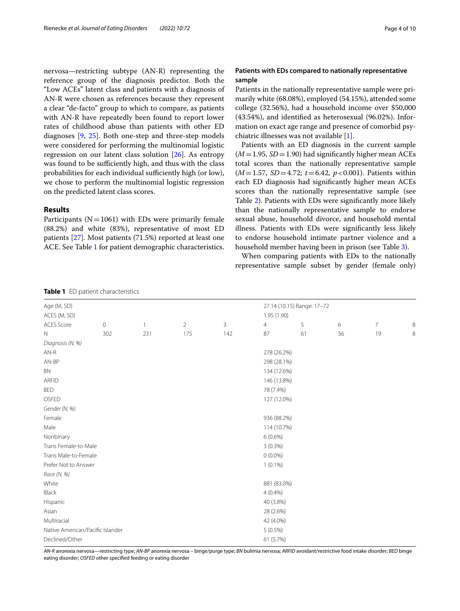nervosa—restricting subtype (AN-R) representing the reference group of the diagnosis predictor. Both the "Low ACEs" latent class and patients with a diagnosis of AN-R were chosen as references because they represent a clear "de-facto" group to which to compare, as patients with AN-R have repeatedly been found to report lower rates of childhood abuse than patients with other ED diagnoses [[9,](#page-8-21) [25](#page-8-22)]. Both one-step and three-step models were considered for performing the multinomial logistic regression on our latent class solution [\[26](#page-8-23)]. As entropy was found to be sufficiently high, and thus with the class probabilities for each individual sufficiently high (or low), we chose to perform the multinomial logistic regression on the predicted latent class scores.

## **Results**

Participants ( $N=1061$ ) with EDs were primarily female (88.2%) and white (83%), representative of most ED patients [\[27\]](#page-8-24). Most patients (71.5%) reported at least one ACE. See Table [1](#page-3-0) for patient demographic characteristics.

## **Patients with EDs compared to nationally representative sample**

Patients in the nationally representative sample were primarily white (68.08%), employed (54.15%), attended some college (32.56%), had a household income over \$50,000 (43.54%), and identifed as heterosexual (96.02%). Information on exact age range and presence of comorbid psychiatric illnesses was not available [[1\]](#page-8-0).

Patients with an ED diagnosis in the current sample  $(M=1.95, SD=1.90)$  had significantly higher mean ACEs total scores than the nationally representative sample (*M*=1.57, *SD*=4.72; *t*=6.42, *p*<0.001). Patients within each ED diagnosis had signifcantly higher mean ACEs scores than the nationally representative sample (see Table [2\)](#page-4-0). Patients with EDs were signifcantly more likely than the nationally representative sample to endorse sexual abuse, household divorce, and household mental illness. Patients with EDs were signifcantly less likely to endorse household intimate partner violence and a household member having been in prison (see Table [3\)](#page-4-1).

When comparing patients with EDs to the nationally representative sample subset by gender (female only)

| <b>TWATE I</b> LD patient characteristics |             |              |                |                            |                |    |    |                |         |  |
|-------------------------------------------|-------------|--------------|----------------|----------------------------|----------------|----|----|----------------|---------|--|
| Age (M, SD)                               |             |              |                | 27.14 (10.15) Range: 17-72 |                |    |    |                |         |  |
| ACES (M, SD)                              |             |              |                |                            | 1.95 (1.90)    |    |    |                |         |  |
| <b>ACES Score</b>                         | $\mathbf 0$ | $\mathbf{1}$ | $\overline{2}$ | 3                          | $\overline{4}$ | 5  | 6  | $\overline{7}$ | 8       |  |
| $\mathbb N$                               | 302         | 231          | 175            | 142                        | 87             | 61 | 36 | 19             | $\,8\,$ |  |
| Diagnosis (N, %)                          |             |              |                |                            |                |    |    |                |         |  |
| $AN-R$                                    |             |              |                |                            | 278 (26.2%)    |    |    |                |         |  |
| AN-BP                                     |             |              |                |                            | 298 (28.1%)    |    |    |                |         |  |
| <b>BN</b>                                 |             |              |                |                            | 134 (12.6%)    |    |    |                |         |  |
| <b>ARFID</b>                              |             |              |                |                            | 146 (13.8%)    |    |    |                |         |  |
| <b>BED</b>                                |             |              |                |                            | 78 (7.4%)      |    |    |                |         |  |
| OSFED                                     |             |              |                |                            | 127 (12.0%)    |    |    |                |         |  |
| Gender (N, %)                             |             |              |                |                            |                |    |    |                |         |  |
| Female                                    |             |              |                |                            | 936 (88.2%)    |    |    |                |         |  |
| Male                                      |             |              |                |                            | 114 (10.7%)    |    |    |                |         |  |
| Nonbinary                                 |             |              |                |                            | $6(0.6\%)$     |    |    |                |         |  |
| Trans Female-to-Male                      |             |              |                |                            | $3(0.3\%)$     |    |    |                |         |  |
| Trans Male-to-Female                      |             |              |                |                            | $0(0.0\%)$     |    |    |                |         |  |
| Prefer Not to Answer                      |             |              |                |                            | $1(0.1\%)$     |    |    |                |         |  |
| Race (N, %)                               |             |              |                |                            |                |    |    |                |         |  |
| White                                     |             |              |                |                            | 881 (83.0%)    |    |    |                |         |  |
| Black                                     |             |              |                |                            | 4(0.4%         |    |    |                |         |  |
| Hispanic                                  |             |              |                |                            | 40 (3.8%)      |    |    |                |         |  |
| Asian                                     |             |              |                |                            | 28 (2.6%)      |    |    |                |         |  |
| Multiracial                               |             |              |                |                            | 42 (4.0%)      |    |    |                |         |  |
| Native American/Pacific Islander          |             |              |                |                            | $5(0.5\%)$     |    |    |                |         |  |
| Declined/Other                            |             |              |                |                            | 61 (5.7%)      |    |    |                |         |  |

<span id="page-3-0"></span>**Table 1** ED patient characteristics

*AN-R* anorexia nervosa—restricting type; *AN-BP* anorexia nervosa – binge/purge type; *BN* bulimia nervosa; *ARFID* avoidant/restrictive food intake disorder; *BED* binge eating disorder; *OSFED* other specifed feeding or eating disorder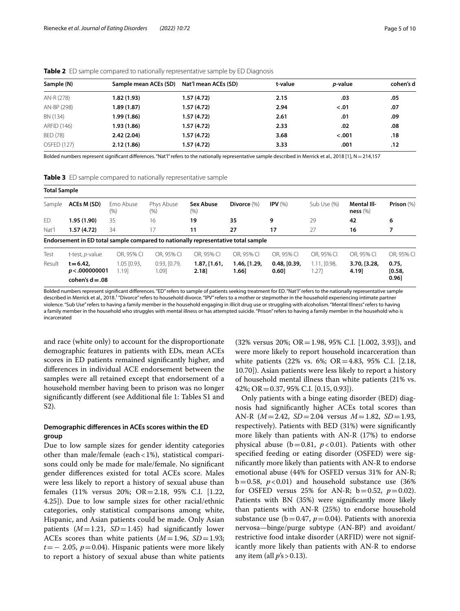| Sample (N)  | Sample mean ACEs (SD) | Nat'l mean ACEs (SD) | t-value | <i>p</i> -value | cohen's d |
|-------------|-----------------------|----------------------|---------|-----------------|-----------|
| AN-R (278)  | 1.82(1.93)            | 1.57(4.72)           | 2.15    | .03             | .05       |
| AN-BP (298) | 1.89 (1.87)           | 1.57(4.72)           | 2.94    | $-.01$          | .07       |
| BN (134)    | 1.99 (1.86)           | 1.57(4.72)           | 2.61    | .01             | .09       |
| ARFID (146) | 1.93(1.86)            | 1.57(4.72)           | 2.33    | .02             | .08       |
| BED (78)    | 2.42(2.04)            | 1.57(4.72)           | 3.68    | $-.001$         | .18       |
| OSFED (127) | 2.12(1.86)            | 1.57(4.72)           | 3.33    | .001            | .12       |

<span id="page-4-0"></span>**Table 2** ED sample compared to nationally representative sample by ED Diagnosis

Bolded numbers represent signifcant diferences. "Nat'l" refers to the nationally representative sample described in Merrick et al., 2018 [\[1\]](#page-8-0), N=214,157

<span id="page-4-1"></span>**Table 3** ED sample compared to nationally representative sample

| <b>Total Sample</b> |                                                   |                            |                       |                                                                                   |                       |                       |                      |                                   |                          |
|---------------------|---------------------------------------------------|----------------------------|-----------------------|-----------------------------------------------------------------------------------|-----------------------|-----------------------|----------------------|-----------------------------------|--------------------------|
| Sample              | ACEs M (SD)                                       | Emo Abuse<br>$(\% )$       | Phys Abuse<br>$(\% )$ | <b>Sex Abuse</b><br>$(\% )$                                                       | Divorce (%)           | IPV $(%)$             | Sub Use (%)          | <b>Mental III-</b><br>ness $(\%)$ | Prison $(\%)$            |
| ED                  | 1.95(1.90)                                        | 35                         | 16                    | 19                                                                                | 35                    | 9                     | 29                   | 42                                | 6                        |
| Nat'l               | 1.57(4.72)                                        | 34                         | 17                    | 11                                                                                | 27                    | 17                    | 27                   | 16                                | 7                        |
|                     |                                                   |                            |                       | Endorsement in ED total sample compared to nationally representative total sample |                       |                       |                      |                                   |                          |
| Test                | t-test, <i>p</i> -value                           | OR. 95% CI                 | OR. 95% CI            | OR. 95% CI                                                                        | OR. 95% CI            | OR. 95% CI            | OR, 95% CI           | OR. 95% CI                        | OR, 95% CI               |
| Result              | $t = 6.42$<br>p < .000000001<br>cohen's $d = .08$ | $1.05$ $[0.93]$ ,<br>1.191 | 0.93, [0.79,<br>1.091 | 1.87, [1.61,<br>2.18                                                              | 1.46, [1.29,<br>1.66] | 0.48, [0.39,<br>0.60] | 1.11, [0.98,<br>.271 | 3.70, [3.28,<br>4.19]             | 0.75.<br>[0.58,<br>0.961 |

Bolded numbers represent signifcant diferences. "ED" refers to sample of patients seeking treatment for ED. "Nat'l" refers to the nationally representative sample described in Merrick et al., 2018.<sup>1</sup> "Divorce" refers to household divorce. "IPV" refers to a mother or stepmother in the household experiencing intimate partner violence. "Sub Use" refers to having a family member in the household engaging in illicit drug use or struggling with alcoholism. "Mental Illness" refers to having a family member in the household who struggles with mental illness or has attempted suicide. "Prison" refers to having a family member in the household who is incarcerated

and race (white only) to account for the disproportionate demographic features in patients with EDs, mean ACEs scores in ED patients remained signifcantly higher, and diferences in individual ACE endorsement between the samples were all retained except that endorsement of a household member having been to prison was no longer signifcantly diferent (see Additional fle [1:](#page-7-0) Tables S1 and S2).

## **Demographic diferences in ACEs scores within the ED group**

Due to low sample sizes for gender identity categories other than male/female (each<1%), statistical comparisons could only be made for male/female. No signifcant gender diferences existed for total ACEs score. Males were less likely to report a history of sexual abuse than females (11% versus 20%; OR=2.18, 95% C.I. [1.22, 4.25]). Due to low sample sizes for other racial/ethnic categories, only statistical comparisons among white, Hispanic, and Asian patients could be made. Only Asian patients  $(M=1.21, SD=1.45)$  had significantly lower ACEs scores than white patients  $(M=1.96, SD=1.93;$ *t*=− 2.05, *p*=0.04). Hispanic patients were more likely to report a history of sexual abuse than white patients

(32% versus 20%; OR=1.98, 95% C.I. [1.002, 3.93]), and were more likely to report household incarceration than white patients (22% vs. 6%; OR=4.83, 95% C.I. [2.18, 10.70]). Asian patients were less likely to report a history of household mental illness than white patients (21% vs. 42%; OR=0.37, 95% C.I. [0.15, 0.93]).

Only patients with a binge eating disorder (BED) diagnosis had signifcantly higher ACEs total scores than AN-R (*M*=2.42, *SD*=2.04 versus *M*=1.82, *SD*=1.93, respectively). Patients with BED (31%) were signifcantly more likely than patients with AN-R (17%) to endorse physical abuse ( $b=0.81$ ,  $p<0.01$ ). Patients with other specifed feeding or eating disorder (OSFED) were signifcantly more likely than patients with AN-R to endorse emotional abuse (44% for OSFED versus 31% for AN-R;  $b=0.58$ ,  $p<0.01$ ) and household substance use (36%) for OSFED versus 25% for AN-R;  $b = 0.52$ ,  $p = 0.02$ ). Patients with BN (35%) were signifcantly more likely than patients with AN-R (25%) to endorse household substance use ( $b=0.47$ ,  $p=0.04$ ). Patients with anorexia nervosa—binge/purge subtype (AN-BP) and avoidant/ restrictive food intake disorder (ARFID) were not significantly more likely than patients with AN-R to endorse any item (all  $p's > 0.13$ ).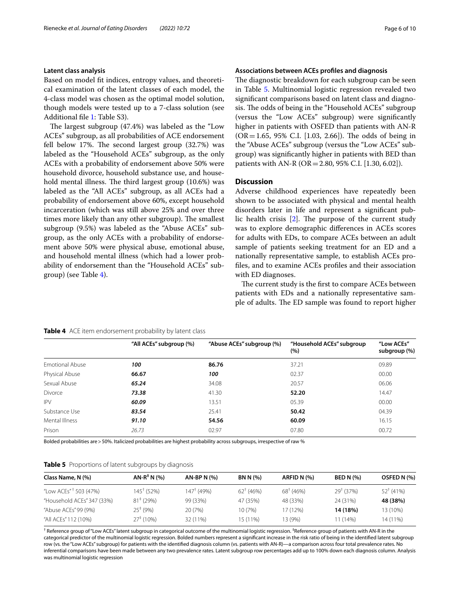## **Latent class analysis**

Based on model ft indices, entropy values, and theoretical examination of the latent classes of each model, the 4-class model was chosen as the optimal model solution, though models were tested up to a 7-class solution (see Additional fle [1](#page-7-0): Table S3).

The largest subgroup  $(47.4%)$  was labeled as the "Low ACEs" subgroup, as all probabilities of ACE endorsement fell below 17%. The second largest group  $(32.7%)$  was labeled as the "Household ACEs" subgroup, as the only ACEs with a probability of endorsement above 50% were household divorce, household substance use, and household mental illness. The third largest group  $(10.6%)$  was labeled as the "All ACEs" subgroup, as all ACEs had a probability of endorsement above 60%, except household incarceration (which was still above 25% and over three times more likely than any other subgroup). The smallest subgroup (9.5%) was labeled as the "Abuse ACEs" subgroup, as the only ACEs with a probability of endorsement above 50% were physical abuse, emotional abuse, and household mental illness (which had a lower probability of endorsement than the "Household ACEs" subgroup) (see Table [4](#page-5-0)).

## **Associations between ACEs profles and diagnosis**

The diagnostic breakdown for each subgroup can be seen in Table [5.](#page-5-1) Multinomial logistic regression revealed two signifcant comparisons based on latent class and diagnosis. The odds of being in the "Household ACEs" subgroup (versus the "Low ACEs" subgroup) were signifcantly higher in patients with OSFED than patients with AN-R  $(OR = 1.65, 95\% \text{ C.I. } [1.03, 2.66])$ . The odds of being in the "Abuse ACEs" subgroup (versus the "Low ACEs" subgroup) was signifcantly higher in patients with BED than patients with AN-R (OR=2.80, 95% C.I. [1.30, 6.02]).

## **Discussion**

Adverse childhood experiences have repeatedly been shown to be associated with physical and mental health disorders later in life and represent a signifcant public health crisis  $[2]$  $[2]$ . The purpose of the current study was to explore demographic diferences in ACEs scores for adults with EDs, to compare ACEs between an adult sample of patients seeking treatment for an ED and a nationally representative sample, to establish ACEs profles, and to examine ACEs profles and their association with ED diagnoses.

The current study is the first to compare ACEs between patients with EDs and a nationally representative sample of adults. The ED sample was found to report higher

<span id="page-5-0"></span>

| Table 4 ACE item endorsement probability by latent class |  |  |  |  |
|----------------------------------------------------------|--|--|--|--|
|----------------------------------------------------------|--|--|--|--|

|                 | "All ACEs" subgroup (%) | "Abuse ACEs" subgroup (%) | "Household ACEs" subgroup<br>$(\%)$ | "Low ACEs"<br>subgroup (%) |
|-----------------|-------------------------|---------------------------|-------------------------------------|----------------------------|
| Emotional Abuse | 100                     | 86.76                     | 37.21                               | 09.89                      |
| Physical Abuse  | 66.67                   | 100                       | 02.37                               | 00.00                      |
| Sexual Abuse    | 65.24                   | 34.08                     | 20.57                               | 06.06                      |
| <b>Divorce</b>  | 73.38                   | 41.30                     | 52.20                               | 14.47                      |
| <b>IPV</b>      | 60.09                   | 13.51                     | 05.39                               | 00.00                      |
| Substance Use   | 83.54                   | 25.41                     | 50.42                               | 04.39                      |
| Mental Illness  | 91.10                   | 54.56                     | 60.09                               | 16.15                      |
| Prison          | 26.73                   | 02.97                     | 07.80                               | 00.72                      |

Bolded probabilities are>50%. Italicized probabilities are highest probability across subgroups, irrespective of raw %

<span id="page-5-1"></span>

|  | Table 5 Proportions of latent subgroups by diagnosis |  |
|--|------------------------------------------------------|--|
|  |                                                      |  |

| Class Name, N (%)                 | $AN-R^+N(%)$             | $AN-BP N (%)$         | <b>BN N (%)</b>      | ARFID N (%)          | <b>BED N (%)</b>     | OSFED N (%) |
|-----------------------------------|--------------------------|-----------------------|----------------------|----------------------|----------------------|-------------|
| "Low ACEs" <sup>†</sup> 503 (47%) | $145^{\dagger}$ (52%)    | $147^{\dagger}$ (49%) | $62^{\dagger}$ (46%) | $68^{\dagger}$ (46%) | $29^{\dagger}$ (37%) | $52^+(41%)$ |
| "Household ACEs" 347 (33%)        | $81^{\frac{1}{2}}$ (29%) | 99 (33%)              | 47 (35%)             | 48 (33%)             | 24 (31%)             | 48 (38%)    |
| "Abuse ACEs" 99 (9%)              | $25^+(9%)$               | 20 (7%)               | 10 (7%)              | 17 (12%)             | 14 (18%)             | 13 (10%)    |
| "All ACEs" 112 (10%)              | $27^{\ddagger}$ (10%)    | 32 (11%)              | 15 (11%)             | 13 (9%)              | 11 (14%)             | 14 (11%)    |

† Reference group of "Low ACEs" latent subgroup in categorical outcome of the multinomial logistic regression. ‡ Reference group of patients with AN-R in the categorical predictor of the multinomial logistic regression. Bolded numbers represent a signifcant increase in the risk ratio of being in the identifed latent subgroup row (vs. the "Low ACEs" subgroup) for patients with the identifed diagnosis column (vs. patients with AN-R)—a comparison across four total prevalence rates. No inferential comparisons have been made between any two prevalence rates. Latent subgroup row percentages add up to 100% down each diagnosis column. Analysis was multinomial logistic regression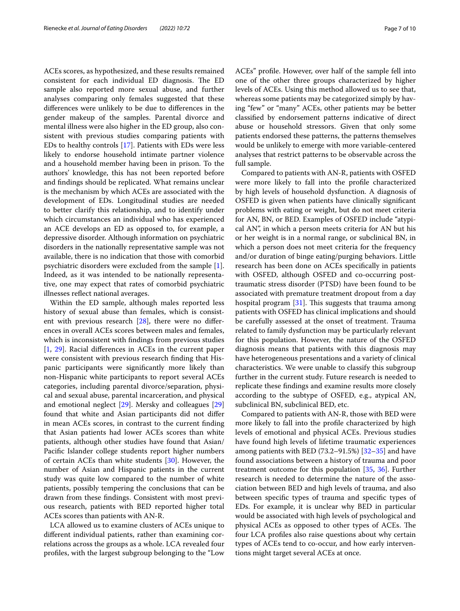ACEs scores, as hypothesized, and these results remained consistent for each individual ED diagnosis. The ED sample also reported more sexual abuse, and further analyses comparing only females suggested that these diferences were unlikely to be due to diferences in the gender makeup of the samples. Parental divorce and mental illness were also higher in the ED group, also consistent with previous studies comparing patients with EDs to healthy controls [\[17](#page-8-13)]. Patients with EDs were less likely to endorse household intimate partner violence and a household member having been in prison. To the authors' knowledge, this has not been reported before and fndings should be replicated. What remains unclear is the mechanism by which ACEs are associated with the development of EDs. Longitudinal studies are needed to better clarify this relationship, and to identify under which circumstances an individual who has experienced an ACE develops an ED as opposed to, for example, a depressive disorder. Although information on psychiatric disorders in the nationally representative sample was not available, there is no indication that those with comorbid psychiatric disorders were excluded from the sample [\[1](#page-8-0)]. Indeed, as it was intended to be nationally representative, one may expect that rates of comorbid psychiatric illnesses refect national averages.

Within the ED sample, although males reported less history of sexual abuse than females, which is consistent with previous research [[28\]](#page-8-25), there were no diferences in overall ACEs scores between males and females, which is inconsistent with fndings from previous studies [[1,](#page-8-0) [29\]](#page-8-26). Racial diferences in ACEs in the current paper were consistent with previous research fnding that Hispanic participants were signifcantly more likely than non-Hispanic white participants to report several ACEs categories, including parental divorce/separation, physical and sexual abuse, parental incarceration, and physical and emotional neglect [[29\]](#page-8-26). Mersky and colleagues [[29](#page-8-26)] found that white and Asian participants did not difer in mean ACEs scores, in contrast to the current fnding that Asian patients had lower ACEs scores than white patients, although other studies have found that Asian/ Pacifc Islander college students report higher numbers of certain ACEs than white students [[30](#page-8-27)]. However, the number of Asian and Hispanic patients in the current study was quite low compared to the number of white patients, possibly tempering the conclusions that can be drawn from these fndings. Consistent with most previous research, patients with BED reported higher total ACEs scores than patients with AN-R.

LCA allowed us to examine clusters of ACEs unique to diferent individual patients, rather than examining correlations across the groups as a whole. LCA revealed four profles, with the largest subgroup belonging to the "Low

ACEs" profle. However, over half of the sample fell into one of the other three groups characterized by higher levels of ACEs. Using this method allowed us to see that, whereas some patients may be categorized simply by having "few" or "many" ACEs, other patients may be better classifed by endorsement patterns indicative of direct abuse or household stressors. Given that only some patients endorsed these patterns, the patterns themselves would be unlikely to emerge with more variable-centered analyses that restrict patterns to be observable across the full sample.

Compared to patients with AN-R, patients with OSFED were more likely to fall into the profle characterized by high levels of household dysfunction. A diagnosis of OSFED is given when patients have clinically signifcant problems with eating or weight, but do not meet criteria for AN, BN, or BED. Examples of OSFED include "atypical AN", in which a person meets criteria for AN but his or her weight is in a normal range, or subclinical BN, in which a person does not meet criteria for the frequency and/or duration of binge eating/purging behaviors. Little research has been done on ACEs specifcally in patients with OSFED, although OSFED and co-occurring posttraumatic stress disorder (PTSD) have been found to be associated with premature treatment dropout from a day hospital program  $[31]$  $[31]$ . This suggests that trauma among patients with OSFED has clinical implications and should be carefully assessed at the onset of treatment. Trauma related to family dysfunction may be particularly relevant for this population. However, the nature of the OSFED diagnosis means that patients with this diagnosis may have heterogeneous presentations and a variety of clinical characteristics. We were unable to classify this subgroup further in the current study. Future research is needed to replicate these fndings and examine results more closely according to the subtype of OSFED, e.g., atypical AN, subclinical BN, subclinical BED, etc.

Compared to patients with AN-R, those with BED were more likely to fall into the profle characterized by high levels of emotional and physical ACEs. Previous studies have found high levels of lifetime traumatic experiences among patients with BED  $(73.2–91.5%)$   $[32–35]$  $[32–35]$  $[32–35]$  and have found associations between a history of trauma and poor treatment outcome for this population [\[35](#page-9-1), [36\]](#page-9-2). Further research is needed to determine the nature of the association between BED and high levels of trauma, and also between specifc types of trauma and specifc types of EDs. For example, it is unclear why BED in particular would be associated with high levels of psychological and physical ACEs as opposed to other types of ACEs. The four LCA profles also raise questions about why certain types of ACEs tend to co-occur, and how early interventions might target several ACEs at once.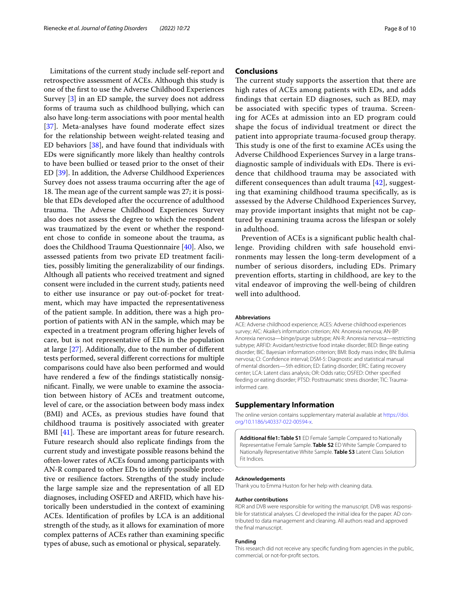Limitations of the current study include self-report and retrospective assessment of ACEs. Although this study is one of the frst to use the Adverse Childhood Experiences Survey [[3\]](#page-8-2) in an ED sample, the survey does not address forms of trauma such as childhood bullying, which can also have long-term associations with poor mental health [[37\]](#page-9-3). Meta-analyses have found moderate effect sizes for the relationship between weight-related teasing and ED behaviors [[38](#page-9-4)], and have found that individuals with EDs were signifcantly more likely than healthy controls to have been bullied or teased prior to the onset of their ED [\[39](#page-9-5)]. In addition, the Adverse Childhood Experiences Survey does not assess trauma occurring after the age of 18. The mean age of the current sample was 27; it is possible that EDs developed after the occurrence of adulthood trauma. The Adverse Childhood Experiences Survey also does not assess the degree to which the respondent was traumatized by the event or whether the respondent chose to confde in someone about the trauma, as does the Childhood Trauma Questionnaire [\[40](#page-9-6)]. Also, we assessed patients from two private ED treatment facilities, possibly limiting the generalizability of our fndings. Although all patients who received treatment and signed consent were included in the current study, patients need to either use insurance or pay out-of-pocket for treatment, which may have impacted the representativeness of the patient sample. In addition, there was a high proportion of patients with AN in the sample, which may be expected in a treatment program ofering higher levels of care, but is not representative of EDs in the population at large [[27\]](#page-8-24). Additionally, due to the number of diferent tests performed, several diferent corrections for multiple comparisons could have also been performed and would have rendered a few of the fndings statistically nonsignifcant. Finally, we were unable to examine the association between history of ACEs and treatment outcome, level of care, or the association between body mass index (BMI) and ACEs, as previous studies have found that childhood trauma is positively associated with greater BMI  $[41]$  $[41]$ . These are important areas for future research. Future research should also replicate fndings from the current study and investigate possible reasons behind the often-lower rates of ACEs found among participants with AN-R compared to other EDs to identify possible protective or resilience factors. Strengths of the study include the large sample size and the representation of all ED diagnoses, including OSFED and ARFID, which have historically been understudied in the context of examining ACEs. Identifcation of profles by LCA is an additional strength of the study, as it allows for examination of more complex patterns of ACEs rather than examining specifc types of abuse, such as emotional or physical, separately.

### **Conclusions**

The current study supports the assertion that there are high rates of ACEs among patients with EDs, and adds fndings that certain ED diagnoses, such as BED, may be associated with specifc types of trauma. Screening for ACEs at admission into an ED program could shape the focus of individual treatment or direct the patient into appropriate trauma-focused group therapy. This study is one of the first to examine ACEs using the Adverse Childhood Experiences Survey in a large transdiagnostic sample of individuals with EDs. There is evidence that childhood trauma may be associated with diferent consequences than adult trauma [[42\]](#page-9-8), suggesting that examining childhood trauma specifcally, as is assessed by the Adverse Childhood Experiences Survey, may provide important insights that might not be captured by examining trauma across the lifespan or solely in adulthood.

Prevention of ACEs is a signifcant public health challenge. Providing children with safe household environments may lessen the long-term development of a number of serious disorders, including EDs. Primary prevention efforts, starting in childhood, are key to the vital endeavor of improving the well-being of children well into adulthood.

#### **Abbreviations**

ACE: Adverse childhood experience; ACES: Adverse childhood experiences survey; AIC: Akaike's information criterion; AN: Anorexia nervosa; AN-BP Anorexia nervosa—binge/purge subtype; AN-R: Anorexia nervosa—restricting subtype; ARFID: Avoidant/restrictive food intake disorder; BED: Binge eating disorder; BIC: Bayesian information criterion; BMI: Body mass index; BN: Bulimia nervosa; CI: Confdence interval; DSM-5: Diagnostic and statistical manual of mental disorders—5th edition; ED: Eating disorder; ERC: Eating recovery center; LCA: Latent class analysis; OR: Odds ratio; OSFED: Other specifed feeding or eating disorder; PTSD: Posttraumatic stress disorder; TIC: Traumainformed care.

#### **Supplementary Information**

The online version contains supplementary material available at [https://doi.](https://doi.org/10.1186/s40337-022-00594-x) [org/10.1186/s40337-022-00594-x.](https://doi.org/10.1186/s40337-022-00594-x)

<span id="page-7-0"></span>**Additional fle1: Table S1** ED Female Sample Compared to Nationally Representative Female Sample. **Table S2** ED White Sample Compared to Nationally Representative White Sample. **Table S3** Latent Class Solution Fit Indices.

#### **Acknowledgements**

Thank you to Emma Huston for her help with cleaning data.

#### **Author contributions**

RDR and DVB were responsible for writing the manuscript. DVB was responsible for statistical analyses. CJ developed the initial idea for the paper. AD contributed to data management and cleaning. All authors read and approved the fnal manuscript.

#### **Funding**

This research did not receive any specifc funding from agencies in the public, commercial, or not-for-proft sectors.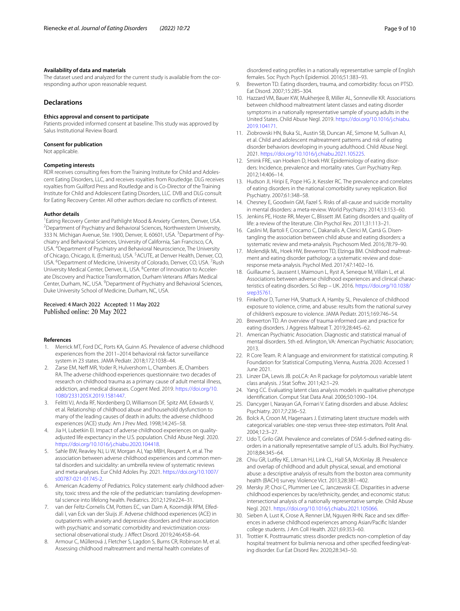#### **Availability of data and materials**

The dataset used and analyzed for the current study is available from the corresponding author upon reasonable request.

## **Declarations**

#### **Ethics approval and consent to participate**

Patients provided informed consent at baseline. This study was approved by Salus Institutional Review Board.

#### **Consent for publication**

Not applicable.

#### **Competing interests**

RDR receives consulting fees from the Training Institute for Child and Adolescent Eating Disorders, LLC, and receives royalties from Routledge. DLG receives royalties from Guilford Press and Routledge and is Co-Director of the Training Institute for Child and Adolescent Eating Disorders, LLC. DVB and DLG consult for Eating Recovery Center. All other authors declare no conficts of interest.

#### **Author details**

<sup>1</sup> Eating Recovery Center and Pathlight Mood & Anxiety Centers, Denver, USA.<br><sup>2</sup> Denartment of Psychiatry and Behavioral Sciences, Northwestern University. Department of Psychiatry and Behavioral Sciences, Northwestern University, 333 N. Michigan Avenue, Ste. 1900, Denver, IL 60601, USA. <sup>3</sup> Department of Psychiatry and Behavioral Sciences, University of California, San Francisco, CA, USA. 4 Department of Psychiatry and Behavioral Neuroscience, The University of Chicago, Chicago, IL (Emeritus), USA. <sup>5</sup>ACUTE, at Denver Health, Denver, CO, USA. <sup>6</sup>Department of Medicine, University of Colorado, Denver, CO, USA. <sup>7</sup>Rush University Medical Center, Denver, IL, USA. <sup>8</sup>Center of Innovation to Accelerate Discovery and Practice Transformation, Durham Veterans Afairs Medical Center, Durham, NC, USA. <sup>9</sup> Department of Psychiatry and Behavioral Sciences, Duke University School of Medicine, Durham, NC, USA.

## Received: 4 March 2022 Accepted: 11 May 2022<br>Published online: 20 May 2022

#### **References**

- <span id="page-8-0"></span>1. Merrick MT, Ford DC, Ports KA, Guinn AS. Prevalence of adverse childhood experiences from the 2011–2014 behavioral risk factor surveillance system in 23 states. JAMA Pediatr. 2018;172:1038–44.
- <span id="page-8-1"></span>2. Zarse EM, Neff MR, Yoder R, Hulvershorn L, Chambers JE, Chambers RA. The adverse childhood experiences questionnaire: two decades of research on childhood trauma as a primary cause of adult mental illness, addiction, and medical diseases. Cogent Med. 2019. [https://doi.org/10.](https://doi.org/10.1080/2331205X.2019.1581447) [1080/2331205X.2019.1581447.](https://doi.org/10.1080/2331205X.2019.1581447)
- <span id="page-8-2"></span>3. Felitti VJ, Anda RF, Nordenberg D, Williamson DF, Spitz AM, Edwards V, et al. Relationship of childhood abuse and household dysfunction to many of the leading causes of death in adults: the adverse childhood experiences (ACE) study. Am J Prev Med. 1998;14:245–58.
- 4. Jia H, Lubetkin EI. Impact of adverse childhood experiences on qualityadjusted life expectancy in the U.S. population. Child Abuse Negl. 2020. [https://doi.org/10.1016/j.chiabu.2020.104418.](https://doi.org/10.1016/j.chiabu.2020.104418)
- <span id="page-8-3"></span>5. Sahle BW, Reavley NJ, Li W, Morgan AJ, Yap MBH, Reupert A, et al. The association between adverse childhood experiences and common mental disorders and suicidality: an umbrella review of systematic reviews and meta-analyses. Eur Child Adoles Psy. 2021. [https://doi.org/10.1007/](https://doi.org/10.1007/s00787-021-01745-2) [s00787-021-01745-2](https://doi.org/10.1007/s00787-021-01745-2).
- <span id="page-8-4"></span>6. American Academy of Pediatrics. Policy statement: early childhood adversity, toxic stress and the role of the pediatrician: translating developmental science into lifelong health. Pediatrics. 2012;129:e224–31.
- <span id="page-8-5"></span>7. van der Feltz-Cornelis CM, Potters EC, van Dam A, Koorndijk RPM, Elfeddali I, van Eck van der Sluijs JF. Adverse childhood experiences (ACE) in outpatients with anxiety and depressive disorders and their association with psychiatric and somatic comorbidity and revictimization crosssectional observational study. J Afect Disord. 2019;246:458–64.
- <span id="page-8-6"></span>Armour C, Műllerová J, Fletcher S, Lagdon S, Burns CR, Robinson M, et al. Assessing childhood maltreatment and mental health correlates of

disordered eating profles in a nationally representative sample of English females. Soc Psych Psych Epidemiol. 2016;51:383–93.

- <span id="page-8-21"></span>9. Brewerton TD. Eating disorders, trauma, and comorbidity: focus on PTSD. Eat Disord. 2007;15:285–304.
- 10. Hazzard VM, Bauer KW, Mukherjee B, Miller AL, Sonneville KR. Associations between childhood maltreatment latent classes and eating disorder symptoms in a nationally representative sample of young adults in the United States. Child Abuse Negl. 2019. [https://doi.org/10.1016/j.chiabu.](https://doi.org/10.1016/j.chiabu.2019.104171) [2019.104171.](https://doi.org/10.1016/j.chiabu.2019.104171)
- <span id="page-8-7"></span>11. Ziobrowski HN, Buka SL, Austin SB, Duncan AE, Simone M, Sullivan AJ, et al. Child and adolescent maltreatment patterns and risk of eating disorder behaviors developing in young adulthood. Child Abuse Negl. 2021. [https://doi.org/10.1016/j.chiabu.2021.105225.](https://doi.org/10.1016/j.chiabu.2021.105225)
- <span id="page-8-8"></span>12. Smink FRE, van Hoeken D, Hoek HW. Epidemiology of eating disorders: Incidence, prevalence and mortality rates. Curr Psychiatry Rep. 2012;14:406–14.
- <span id="page-8-9"></span>13. Hudson JI, Hiripi E, Pope HG Jr, Kessler RC. The prevalence and correlates of eating disorders in the national comorbidity survey replication. Biol Psychiatry. 2007;61:348–58.
- <span id="page-8-10"></span>14. Chesney E, Goodwin GM, Fazel S. Risks of all-cause and suicide mortality in mental disorders: a meta-review. World Psychiatry. 2014;13:153–60.
- <span id="page-8-11"></span>15. Jenkins PE, Hoste RR, Meyer C, Blissett JM. Eating disorders and quality of life: a review of the literature. Clin Psychol Rev. 2011;31:113–21.
- <span id="page-8-12"></span>16. Caslini M, Bartoli F, Crocamo C, Dakanalis A, Clerici M, Carrá G. Disentangling the association between child abuse and eating disorders: a systematic review and meta-analysis. Psychosom Med. 2016;78:79–90.
- <span id="page-8-13"></span>17. Molendijk ML, Hoek HW, Brewerton TD, Elzinga BM. Childhood maltreatment and eating disorder pathology: a systematic review and doseresponse meta-analysis. Psychol Med. 2017;47:1402–16.
- <span id="page-8-14"></span>18. Guillaume S, Jaussent I, Maimoun L, Ryst A, Seneque M, Villain L, et al. Associations between adverse childhood experiences and clinical characteristics of eating disorders. Sci Rep – UK. 2016. [https://doi.org/10.1038/](https://doi.org/10.1038/srep35761) [srep35761.](https://doi.org/10.1038/srep35761)
- <span id="page-8-15"></span>19. Finkelhor D, Turner HA, Shattuck A, Hamby SL. Prevalence of childhood exposure to violence, crime, and abuse: results from the national survey of children's exposure to violence. JAMA Pediatr. 2015;169:746–54.
- <span id="page-8-16"></span>20. Brewerton TD. An overview of trauma-informed care and practice for eating disorders. J Aggress Maltreat T. 2019;28:445–62.
- <span id="page-8-17"></span>21. American Psychiatric Association. Diagnostic and statistical manual of mental disorders. 5th ed. Arlington, VA: American Psychiatric Association; 2013.
- <span id="page-8-18"></span>22. R Core Team. R: A language and environment for statistical computing. R Foundation for Statistical Computing, Vienna, Austria. 2020. Accessed 1 June 2021.
- <span id="page-8-19"></span>23. Linzer DA, Lewis JB. poLCA: An R package for polytomous variable latent class analysis. J Stat Softw. 2011;42:1–29.
- <span id="page-8-20"></span>24. Yang CC. Evaluating latent class analysis models in qualitative phenotype identifcation. Comput Stat Data Anal. 2006;50:1090–104.
- <span id="page-8-22"></span>25. Dancyger I, Narayan GA, Fornari V. Eating disorders and abuse. Adolesc Psychiatry. 2017;7:236–52.
- <span id="page-8-23"></span>26. Bolck A, Croon M, Hagenaars J. Estimating latent structure models with categorical variables: one-step versus three-step estimators. Polit Anal. 2004;12:3–27.
- <span id="page-8-24"></span>27. Udo T, Grilo GM. Prevalence and correlates of DSM-5-defned eating disorders in a nationally representative sample of U.S. adults. Biol Psychiatry. 2018;84:345–64.
- <span id="page-8-25"></span>28. Chiu GR, Lutfey KE, Litman HJ, Link CL, Hall SA, McKinlay JB. Prevalence and overlap of childhood and adult physical, sexual, and emotional abuse: a descriptive analysis of results from the boston area community health (BACH) survey. Violence Vict. 2013;28:381–402.
- <span id="page-8-26"></span>29. Mersky JP, Choi C, Plummer Lee C, Janczewski CE. Disparities in adverse childhood experiences by race/ethnicity, gender, and economic status: intersectional analysis of a nationally representative sample. Child Abuse Negl. 2021. [https://doi.org/10.1016/j.chiabu.2021.105066.](https://doi.org/10.1016/j.chiabu.2021.105066)
- <span id="page-8-27"></span>30. Sieben A, Lust K, Crose A, Renner LM, Nguyen RHN. Race and sex diferences in adverse childhood experiences among Asian/Pacifc Islander college students. J Am Coll Health. 2021;69:353–60.
- <span id="page-8-28"></span>31. Trottier K. Posttraumatic stress disorder predicts non-completion of day hospital treatment for bulimia nervosa and other specifed feeding/eating disorder. Eur Eat Disord Rev. 2020;28:343–50.